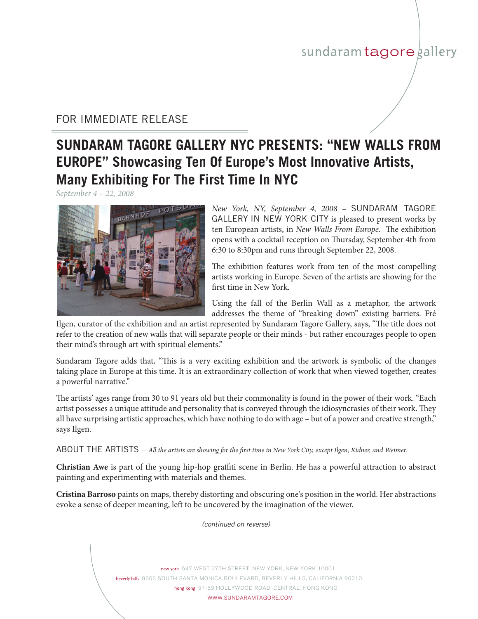## sundaram tagore gallery

## FOR IMMEDIATE RELEASE

## **SUNDARAM TAGORE GALLERY NYC PRESENTS: "NEW WALLS FROM EUROPE" Showcasing Ten Of Europe's Most Innovative Artists, Many Exhibiting For The First Time In NYC**

*September 4 – 22, 2008*



*New York, NY, September 4, 2008 - SUNDARAM TAGORE* GALLERY IN NEW YORK CITY is pleased to present works by ten European artists, in *New Walls From Europe.* The exhibition opens with a cocktail reception on Thursday, September 4th from 6:30 to 8:30pm and runs through September 22, 2008.

The exhibition features work from ten of the most compelling artists working in Europe. Seven of the artists are showing for the first time in New York.

Using the fall of the Berlin Wall as a metaphor, the artwork addresses the theme of "breaking down" existing barriers. Fré

Ilgen, curator of the exhibition and an artist represented by Sundaram Tagore Gallery, says, "The title does not refer to the creation of new walls that will separate people or their minds - but rather encourages people to open their mind's through art with spiritual elements."

Sundaram Tagore adds that, "This is a very exciting exhibition and the artwork is symbolic of the changes taking place in Europe at this time. It is an extraordinary collection of work that when viewed together, creates a powerful narrative."

The artists' ages range from 30 to 91 years old but their commonality is found in the power of their work. "Each artist possesses a unique attitude and personality that is conveyed through the idiosyncrasies of their work. They all have surprising artistic approaches, which have nothing to do with age – but of a power and creative strength," says Ilgen.

ABOUT THE ARTISTS – *All the artists are showing for the first time in New York City, except Ilgen, Kidner, and Weimer.*

**Christian Awe** is part of the young hip-hop graffiti scene in Berlin. He has a powerful attraction to abstract painting and experimenting with materials and themes.

**Cristina Barroso** paints on maps, thereby distorting and obscuring one's position in the world. Her abstractions evoke a sense of deeper meaning, left to be uncovered by the imagination of the viewer.

*(continued on reverse)*

new york 547 WEST 27TH STREET, NEW YORK, NEW YORK 10001 beverly hills 9606 South Santa Monica BOULEVARD, Beverly Hills, CALIFORNIA 90210 hong kong 57-59 HOLLYWOOD ROAD, CENTRAL, HONG KONG WWW.SUNDARAMTAGORE.COM